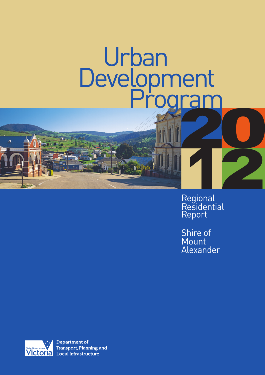# Urban Development<br>Program

Regional **Residential** Report

Shire of **Mount** Alexander



**Department of Transport, Planning and Local Infrastructure**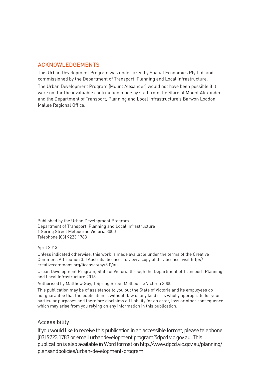# ACKNOWLEDGEMENTS

This Urban Development Program was undertaken by Spatial Economics Pty Ltd, and commissioned by the Department of Transport, Planning and Local Infrastructure. The Urban Development Program (Mount Alexander) would not have been possible if it were not for the invaluable contribution made by staff from the Shire of Mount Alexander and the Department of Transport, Planning and Local Infrastructure's Barwon Loddon Mallee Regional Office.

Published by the Urban Development Program Department of Transport, Planning and Local Infrastructure 1 Spring Street Melbourne Victoria 3000 Telephone (03) 9223 1783

#### April 2013

Unless indicated otherwise, this work is made available under the terms of the Creative Commons Attribution 3.0 Australia licence. To view a copy of this licence, visit http:// creativecommons.org/licenses/by/3.0/au

Urban Development Program, State of Victoria through the Department of Transport, Planning and Local Infrastructure 2013

Authorised by Matthew Guy, 1 Spring Street Melbourne Victoria 3000.

This publication may be of assistance to you but the State of Victoria and its employees do not guarantee that the publication is without flaw of any kind or is wholly appropriate for your particular purposes and therefore disclaims all liability for an error, loss or other consequence which may arise from you relying on any information in this publication.

# Accessibility

If you would like to receive this publication in an accessible format, please telephone (03) 9223 1783 or email urbandevelopment.program@dpcd.vic.gov.au.This publication is also available in Word format on http://www.dpcd.vic.gov.au/planning/ plansandpolicies/urban-development-program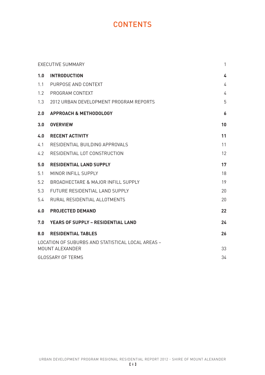# **CONTENTS**

|     | <b>EXECUTIVE SUMMARY</b>                                             | $\mathbf{1}$ |
|-----|----------------------------------------------------------------------|--------------|
| 1.0 | <b>INTRODUCTION</b>                                                  | 4            |
| 1.1 | PURPOSE AND CONTEXT                                                  | 4            |
| 1.2 | PROGRAM CONTEXT                                                      | 4            |
| 1.3 | 2012 URBAN DEVELOPMENT PROGRAM REPORTS                               | 5            |
| 2.0 | <b>APPROACH &amp; METHODOLOGY</b>                                    | 6            |
| 3.0 | <b>OVERVIEW</b>                                                      | 10           |
| 4.0 | <b>RECENT ACTIVITY</b>                                               | 11           |
| 4.1 | RESIDENTIAL BUILDING APPROVALS                                       | 11           |
| 4.2 | RESIDENTIAL LOT CONSTRUCTION                                         | 12           |
| 5.0 | <b>RESIDENTIAL LAND SUPPLY</b>                                       | 17           |
| 5.1 | MINOR INFILL SUPPLY                                                  | 18           |
| 5.2 | BROADHECTARE & MAJOR INFILL SUPPLY                                   | 19           |
| 5.3 | FUTURE RESIDENTIAL LAND SUPPLY                                       | 20           |
| 5.4 | RURAL RESIDENTIAL ALLOTMENTS                                         | 20           |
| 6.0 | <b>PROJECTED DEMAND</b>                                              | 22           |
| 7.0 | <b>YEARS OF SUPPLY - RESIDENTIAL LAND</b>                            | 24           |
| 8.0 | <b>RESIDENTIAL TABLES</b>                                            | 26           |
|     | LOCATION OF SUBURBS AND STATISTICAL LOCAL AREAS -<br>MOUNT ALEXANDER | 33           |
|     | <b>GLOSSARY OF TERMS</b>                                             | 34           |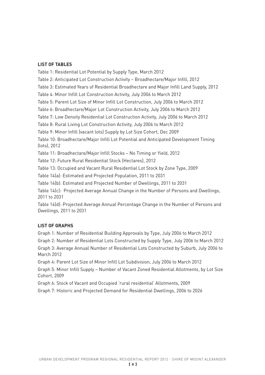# **LIST OF TABLES**

Table 1: Residential Lot Potential by Supply Type, March 2012 Table 2: Anticipated Lot Construction Activity – Broadhectare/Major Infill, 2012 Table 3: Estimated Years of Residential Broadhectare and Major Infill Land Supply, 2012 Table 4: Minor Infill Lot Construction Activity, July 2006 to March 2012 Table 5: Parent Lot Size of Minor Infill Lot Construction, July 2006 to March 2012 Table 6: Broadhectare/Major Lot Construction Activity, July 2006 to March 2012 Table 7: Low Density Residential Lot Construction Activity, July 2006 to March 2012 Table 8: Rural Living Lot Construction Activity, July 2006 to March 2012 Table 9: Minor Infill (vacant lots) Supply by Lot Size Cohort, Dec 2009 Table 10: Broadhectare/Major Infill Lot Potential and Anticipated Development Timing (lots), 2012 Table 11: Broadhectare/Major Infill Stocks – No Timing or Yield, 2012 Table 12: Future Rural Residential Stock (Hectares), 2012 Table 13: Occupied and Vacant Rural Residential Lot Stock by Zone Type, 2009 Table 14(a): Estimated and Projected Population, 2011 to 2031 Table 14(b): Estimated and Projected Number of Dwellings, 2011 to 2031 Table 14(c): Projected Average Annual Change in the Number of Persons and Dwellings, 2011 to 2031 Table 14(d): Projected Average Annual Percentage Change in the Number of Persons and

Dwellings, 2011 to 2031

# **LIST OF GRAPHS**

Graph 1: Number of Residential Building Approvals by Type, July 2006 to March 2012

Graph 2: Number of Residential Lots Constructed by Supply Type, July 2006 to March 2012 Graph 3: Average Annual Number of Residential Lots Constructed by Suburb, July 2006 to March 2012

Graph 4: Parent Lot Size of Minor Infill Lot Subdivision, July 2006 to March 2012

Graph 5: Minor Infill Supply – Number of Vacant Zoned Residential Allotments, by Lot Size Cohort, 2009

Graph 6: Stock of Vacant and Occupied 'rural residential' Allotments, 2009

Graph 7: Historic and Projected Demand for Residential Dwellings, 2006 to 2026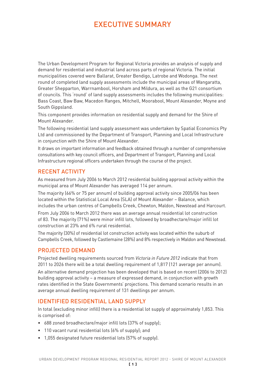# EXECUTIVE SUMMARY

The Urban Development Program for Regional Victoria provides an analysis of supply and demand for residential and industrial land across parts of regional Victoria. The initial municipalities covered were Ballarat, Greater Bendigo, Latrobe and Wodonga. The next round of completed land supply assessments include the municipal areas of Wangaratta, Greater Shepparton, Warrnambool, Horsham and Mildura, as well as the G21 consortium of councils. This 'round' of land supply assessments includes the following municipalities: Bass Coast, Baw Baw, Macedon Ranges, Mitchell, Moorabool, Mount Alexander, Moyne and South Gippsland.

This component provides information on residential supply and demand for the Shire of Mount Alexander.

The following residential land supply assessment was undertaken by Spatial Economics Pty Ltd and commissioned by the Department of Transport, Planning and Local Infrastructure in conjunction with the Shire of Mount Alexander.

It draws on important information and feedback obtained through a number of comprehensive consultations with key council officers, and Department of Transport, Planning and Local Infrastructure regional officers undertaken through the course of the project.

# RECENT ACTIVITY

As measured from July 2006 to March 2012 residential building approval activity within the municipal area of Mount Alexander has averaged 114 per annum.

The majority (66% or 75 per annum) of building approval activity since 2005/06 has been located within the Statistical Local Area (SLA) of Mount Alexander – Balance, which includes the urban centres of Campbells Creek, Chewton, Maldon, Newstead and Harcourt.

From July 2006 to March 2012 there was an average annual residential lot construction of 83. The majority (71%) were minor infill lots, followed by broadhectare/major infill lot construction at 23% and 6% rural residential.

The majority (30%) of residential lot construction activity was located within the suburb of Campbells Creek, followed by Castlemaine (28%) and 8% respectively in Maldon and Newstead.

# PROJECTED DEMAND

Projected dwelling requirements sourced from *Victoria in Future 2012* indicate that from 2011 to 2026 there will be a total dwelling requirement of 1,817 (121 average per annum). An alternative demand projection has been developed that is based on recent (2006 to 2012) building approval activity – a measure of expressed demand, in conjunction with growth rates identified in the State Governments' projections. This demand scenario results in an average annual dwelling requirement of 131 dwellings per annum.

# IDENTIFIED RESIDENTIAL LAND SUPPLY

In total (excluding minor infill) there is a residential lot supply of approximately 1,853. This is comprised of:

- 688 zoned broadhectare/major infill lots (37% of supply);
- 110 vacant rural residential lots (6% of supply): and
- • 1,055 designated future residential lots (57% of supply).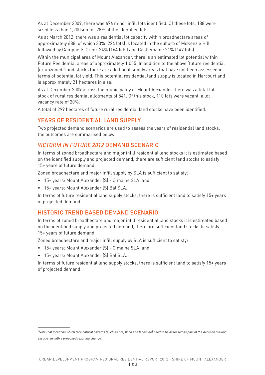As at December 2009, there was 676 minor infill lots identified. Of these lots, 188 were sized less than 1,200sqm or 28% of the identified lots.

As at March 2012, there was a residential lot capacity within broadhectare areas of approximately 688, of which 33% (224 lots) is located in the suburb of McKenzie Hill, followed by Campbells Creek 24% (164 lots) and Castlemaine 21% (147 lots).

Within the municipal area of Mount Alexander, there is an estimated lot potential within Future Residential areas of approximately 1,055. In addition to the above 'future residential' (or unzoned<sup>1)</sup> land stocks there are additional supply areas that have not been assessed in terms of potential lot yield. This potential residential land supply is located in Harcourt and is approximately 21 hectares in size.

As at December 2009 across the municipality of Mount Alexander there was a total lot stock of rural residential allotments of 541. Of this stock, 110 lots were vacant, a lot vacancy rate of 20%.

A total of 299 hectares of future rural residential land stocks have been identified.

# YEARS OF RESIDENTIAL LAND SUPPLY

Two projected demand scenarios are used to assess the years of residential land stocks, the outcomes are summarised below

# *VICTORIA IN FUTURE 2012* DEMAND SCENARIO

In terms of zoned broadhectare and major infill residential land stocks it is estimated based on the identified supply and projected demand, there are sufficient land stocks to satisfy 15+ years of future demand.

Zoned broadhectare and major infill supply by SLA is sufficient to satisfy:

- 15+ years: Mount Alexander (S) C'maine SLA; and
- • 15+ years: Mount Alexander (S) Bal SLA.

In terms of future residential land supply stocks, there is sufficient land to satisfy 15+ years of projected demand.

# HISTORIC TREND BASED DEMAND SCENARIO

In terms of zoned broadhectare and major infill residential land stocks it is estimated based on the identified supply and projected demand, there are sufficient land stocks to satisfy 15+ years of future demand.

Zoned broadhectare and major infill supply by SLA is sufficient to satisfy:

- • 15+ years: Mount Alexander (S) C'maine SLA; and
- • 15+ years: Mount Alexander (S) Bal SLA.

In terms of future residential land supply stocks, there is sufficient land to satisfy 15+ years of projected demand.

*<sup>1</sup> Note that locations which face natural hazards (such as fire, flood and landslide) need to be assessed as part of the decision making associated with a proposed rezoning change.*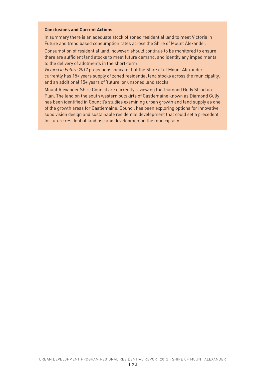#### **Conclusions and Current Actions**

In summary there is an adequate stock of zoned residential land to meet Victoria in Future and trend based consumption rates across the Shire of Mount Alexander.

Consumption of residential land, however, should continue to be monitored to ensure there are sufficient land stocks to meet future demand, and identify any impediments to the delivery of allotments in the short-term.

*Victoria in Future 2012* projections indicate that the Shire of of Mount Alexander currently has 15+ years supply of zoned residential land stocks across the municipality, and an additional 15+ years of 'future' or unzoned land stocks.

Mount Alexander Shire Council are currently reviewing the Diamond Gully Structure Plan. The land on the south western outskirts of Castlemaine known as Diamond Gully has been identified in Council's studies examining urban growth and land supply as one of the growth areas for Castlemaine. Council has been exploring options for innovative subdivision design and sustainable residential development that could set a precedent for future residential land use and development in the municiplaity.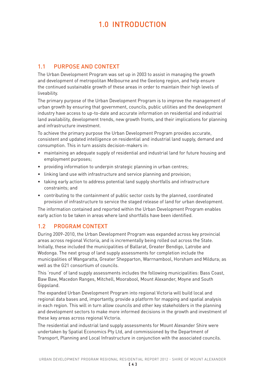# 1.0 INTRODUCTION

# 1.1 PURPOSE AND CONTEXT

The Urban Development Program was set up in 2003 to assist in managing the growth and development of metropolitan Melbourne and the Geelong region, and help ensure the continued sustainable growth of these areas in order to maintain their high levels of liveability.

The primary purpose of the Urban Development Program is to improve the management of urban growth by ensuring that government, councils, public utilities and the development industry have access to up-to-date and accurate information on residential and industrial land availability, development trends, new growth fronts, and their implications for planning and infrastructure investment.

To achieve the primary purpose the Urban Development Program provides accurate, consistent and updated intelligence on residential and industrial land supply, demand and consumption. This in turn assists decision-makers in:

- maintaining an adequate supply of residential and industrial land for future housing and employment purposes;
- providing information to underpin strategic planning in urban centres;
- linking land use with infrastructure and service planning and provision;
- taking early action to address potential land supply shortfalls and infrastructure constraints; and
- contributing to the containment of public sector costs by the planned, coordinated provision of infrastructure to service the staged release of land for urban development.

The information contained and reported within the Urban Development Program enables early action to be taken in areas where land shortfalls have been identified.

# 1.2 PROGRAM CONTEXT

During 2009-2010, the Urban Development Program was expanded across key provincial areas across regional Victoria, and is incrementally being rolled out across the State. Initially, these included the municipalities of Ballarat, Greater Bendigo, Latrobe and Wodonga. The next group of land supply assessments for completion include the municipalities of Wangaratta, Greater Shepparton, Warrnambool, Horsham and Mildura; as well as the G21 consortium of councils.

This 'round' of land supply assessments includes the following municipalities: Bass Coast, Baw Baw, Macedon Ranges, Mitchell, Moorabool, Mount Alexander, Moyne and South Gippsland.

The expanded Urban Development Program into regional Victoria will build local and regional data bases and, importantly, provide a platform for mapping and spatial analysis in each region. This will in turn allow councils and other key stakeholders in the planning and development sectors to make more informed decisions in the growth and investment of these key areas across regional Victoria.

The residential and industrial land supply assessments for Mount Alexander Shire were undertaken by Spatial Economics Pty Ltd, and commissioned by the Department of Transport, Planning and Local Infrastructure in conjunction with the associated councils.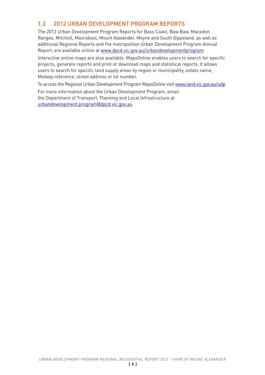# 1.3 2012 URBAN DEVELOPMENT PROGRAM REPORTS

The 2012 Urban Development Program Reports for Bass Coast, Baw Baw, Macedon Ranges, Mitchell, Moorabool, Mount Alexander, Moyne and South Gippsland, as well as additional Regional Reports and the metropolitan Urban Development Program Annual Report, are available online at www.dpcd.vic.gov.au/urbandevelopmentprogram

Interactive online maps are also available. MapsOnline enables users to search for specific projects, generate reports and print or download maps and statistical reports. It allows users to search for specific land supply areas by region or municipality, estate name, Melway reference, street address or lot number.

To access the Regional Urban Development Program MapsOnline visit www.land.vic.gov.au/udp

For more information about the Urban Development Program, email the Department of Transport, Planning and Local Infrastructure at urbandevelopment.program@dpcd.vic.gov.au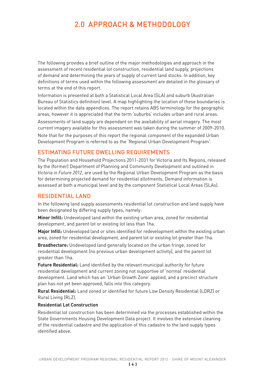# 2.0 APPROACH & METHODOLOGY

The following provides a brief outline of the major methodologies and approach in the assessment of recent residential lot construction, residential land supply, projections of demand and determining the years of supply of current land stocks. In addition, key definitions of terms used within the following assessment are detailed in the glossary of terms at the end of this report.

Information is presented at both a Statistical Local Area (SLA) and suburb (Australian Bureau of Statistics definition) level. A map highlighting the location of these boundaries is located within the data appendices. The report retains ABS terminology for the geographic areas, however it is appreciated that the term 'suburbs' includes urban and rural areas.

Assessments of land supply are dependant on the availability of aerial imagery. The most current imagery available for this assessment was taken during the summer of 2009-2010.

Note that for the purposes of this report the regional component of the expanded Urban Development Program is referred to as the 'Regional Urban Development Program'.

# ESTIMATING FUTURE DWELLING REQUIREMENTS

The Population and Household Projections 2011-2031 for Victoria and Its Regions, released by the (former) Department of Planning and Community Development and outlined in *Victoria in Future 2012*, are used by the Regional Urban Development Program as the basis for determining projected demand for residential allotments. Demand information is assessed at both a municipal level and by the component Statistical Local Areas (SLAs).

# RESIDENTIAL LAND

In the following land supply assessments residential lot construction and land supply have been designated by differing supply types, namely:

**Minor Infill:** Undeveloped land within the existing urban area, zoned for residential development, and parent lot or existing lot less than 1ha.

**Major Infill:** Undeveloped land or sites identified for redevelopment within the existing urban area, zoned for residential development, and parent lot or existing lot greater than 1ha.

**Broadhectare:** Undeveloped land generally located on the urban fringe, zoned for residential development (no previous urban development activity), and the parent lot greater than 1ha.

**Future Residential:** Land identified by the relevant municipal authority for future residential development and current zoning not supportive of 'normal' residential development. Land which has an 'Urban Growth Zone' applied, and a precinct structure plan has not yet been approved, falls into this category.

**Rural Residential:** Land zoned or identified for future Low Density Residential (LDRZ) or Rural Living (RLZ).

#### **Residential Lot Construction**

Residential lot construction has been determined via the processes established within the State Governments Housing Development Data project. It involves the extensive cleaning of the residential cadastre and the application of this cadastre to the land supply types identified above.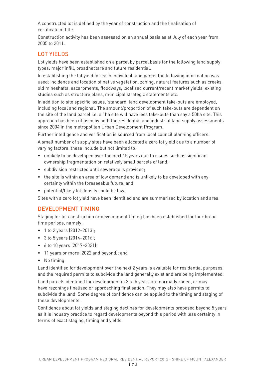A constructed lot is defined by the year of construction and the finalisation of certificate of title.

Construction activity has been assessed on an annual basis as at July of each year from 2005 to 2011.

# LOT YIELDS

Lot yields have been established on a parcel by parcel basis for the following land supply types: major infill, broadhectare and future residential.

In establishing the lot yield for each individual land parcel the following information was used: incidence and location of native vegetation, zoning, natural features such as creeks, old mineshafts, escarpments, floodways, localised current/recent market yields, existing studies such as structure plans, municipal strategic statements etc.

In addition to site specific issues, 'standard' land development take-outs are employed, including local and regional. The amount/proportion of such take-outs are dependent on the site of the land parcel i.e. a 1ha site will have less take-outs than say a 50ha site. This approach has been utilised by both the residential and industrial land supply assessments since 2004 in the metropolitan Urban Development Program.

Further intelligence and verification is sourced from local council planning officers.

A small number of supply sites have been allocated a zero lot yield due to a number of varying factors, these include but not limited to:

- • unlikely to be developed over the next 15 years due to issues such as significant ownership fragmentation on relatively small parcels of land;
- subdivision restricted until sewerage is provided:
- the site is within an area of low demand and is unlikely to be developed with any certainty within the foreseeable future; and
- • potential/likely lot density could be low.

Sites with a zero lot yield have been identified and are summarised by location and area.

# DEVELOPMENT TIMING

Staging for lot construction or development timing has been established for four broad time periods, namely:

- 1 to 2 years (2012–2013);
- 3 to 5 years (2014-2016);
- 6 to 10 years (2017-2021);
- • 11 years or more (2022 and beyond); and
- No timing.

Land identified for development over the next 2 years is available for residential purposes, and the required permits to subdivide the land generally exist and are being implemented.

Land parcels identified for development in 3 to 5 years are normally zoned, or may have rezonings finalised or approaching finalisation. They may also have permits to subdivide the land. Some degree of confidence can be applied to the timing and staging of these developments.

Confidence about lot yields and staging declines for developments proposed beyond 5 years as it is industry practice to regard developments beyond this period with less certainty in terms of exact staging, timing and yields.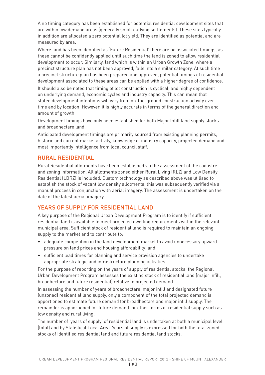A no timing category has been established for potential residential development sites that are within low demand areas (generally small outlying settlements). These sites typically in addition are allocated a zero potential lot yield. They are identified as potential and are measured by area.

Where land has been identified as 'Future Residential' there are no associated timings, as these cannot be confidently applied until such time the land is zoned to allow residential development to occur. Similarly, land which is within an Urban Growth Zone, where a precinct structure plan has not been approved, falls into a similar category. At such time a precinct structure plan has been prepared and approved, potential timings of residential development associated to these areas can be applied with a higher degree of confidence.

It should also be noted that timing of lot construction is cyclical, and highly dependent on underlying demand, economic cycles and industry capacity. This can mean that stated development intentions will vary from on-the-ground construction activity over time and by location. However, it is highly accurate in terms of the general direction and amount of growth.

Development timings have only been established for both Major Infill land supply stocks and broadhectare land.

Anticipated development timings are primarily sourced from existing planning permits, historic and current market activity, knowledge of industry capacity, projected demand and most importantly intelligence from local council staff.

# RURAL RESIDENTIAL

Rural Residential allotments have been established via the assessment of the cadastre and zoning information. All allotments zoned either Rural Living (RLZ) and Low Density Residential (LDRZ) is included. Custom technology as described above was utilised to establish the stock of vacant low density allotments, this was subsequently verified via a manual process in conjunction with aerial imagery. The assessment is undertaken on the date of the latest aerial imagery.

# YEARS OF SUPPLY FOR RESIDENTIAL LAND

A key purpose of the Regional Urban Development Program is to identify if sufficient residential land is available to meet projected dwelling requirements within the relevant municipal area. Sufficient stock of residential land is required to maintain an ongoing supply to the market and to contribute to:

- adequate competition in the land development market to avoid unnecessary upward pressure on land prices and housing affordability; and
- • sufficient lead times for planning and service provision agencies to undertake appropriate strategic and infrastructure planning activities.

For the purpose of reporting on the years of supply of residential stocks, the Regional Urban Development Program assesses the existing stock of residential land (major infill, broadhectare and future residential) relative to projected demand.

In assessing the number of years of broadhectare, major infill and designated future (unzoned) residential land supply, only a component of the total projected demand is apportioned to estimate future demand for broadhectare and major infill supply. The remainder is apportioned for future demand for other forms of residential supply such as low density and rural living.

The number of 'years of supply' of residential land is undertaken at both a municipal level (total) and by Statistical Local Area. Years of supply is expressed for both the total zoned stocks of identified residential land and future residential land stocks.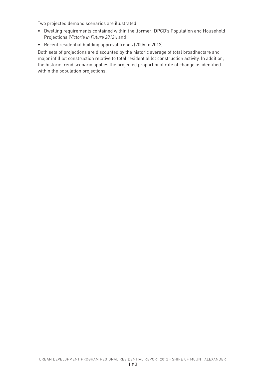Two projected demand scenarios are illustrated:

- Dwelling requirements contained within the (former) DPCD's Population and Household Projections (*Victoria in Future 2012*); and
- Recent residential building approval trends (2006 to 2012).

Both sets of projections are discounted by the historic average of total broadhectare and major infill lot construction relative to total residential lot construction activity. In addition, the historic trend scenario applies the projected proportional rate of change as identified within the population projections.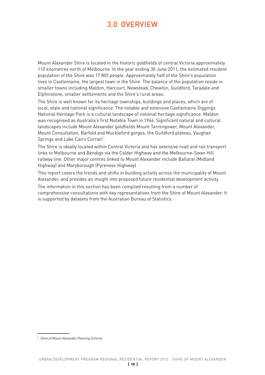# 3.0 OVERVIEW

Mount Alexander Shire is located in the historic goldfields of central Victoria approximately 110 kilometres north of Melbourne. In the year ending 30 June 2011, the estimated resident population of the Shire was 17 803 people. Approximately half of the Shire's population lives in Castlemaine, the largest town in the Shire. The balance of the population reside in smaller towns including Maldon, Harcourt, Newstead, Chewton, Guildford, Taradale and Elphinstone, smaller settlements and the Shire's rural areas.

The Shire is well known for its heritage townships, buildings and places, which are of local, state and national significance. The notable and extensive Castlemaine Diggings National Heritage Park is a cultural landscape of national heritage significance. Maldon was recognised as Australia's first Notable Town in 1966. Significant natural and cultural landscapes include Mount Alexander goldfields Mount Tarrengower, Mount Alexander, Mount Consultation, Barfold and Muckleford gorges, the Guildford plateau, Vaughan Springs and Lake Cairn Curran<sup>2</sup>.

The Shire is ideally located within Central Victoria and has extensive road and rail transport links to Melbourne and Bendigo via the Calder Highway and the Melbourne-Swan Hill railway line. Other major centres linked to Mount Alexander include Ballarat (Midland Highway) and Maryborough (Pyrenees Highway)

This report covers the trends and shifts in building activity across the municipality of Mount Alexander, and provides an insight into proposed future residential development activity.

The information in this section has been compiled resulting from a number of comprehensive consultations with key representatives from the Shire of Mount Alexander. It is supported by datasets from the Australian Bureau of Statistics.

*<sup>2</sup> Shire of Mount Alexander Planning Scheme*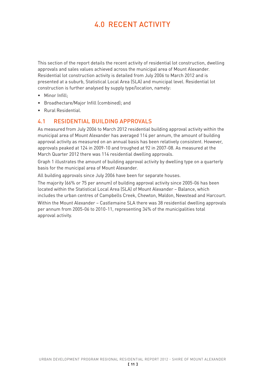# 4.0 RECENT ACTIVITY

This section of the report details the recent activity of residential lot construction, dwelling approvals and sales values achieved across the municipal area of Mount Alexander. Residential lot construction activity is detailed from July 2006 to March 2012 and is presented at a suburb, Statistical Local Area (SLA) and municipal level. Residential lot construction is further analysed by supply type/location, namely:

- Minor Infill:
- • Broadhectare/Major Infill (combined); and
- • Rural Residential.

# 4.1 RESIDENTIAL BUILDING APPROVALS

As measured from July 2006 to March 2012 residential building approval activity within the municipal area of Mount Alexander has averaged 114 per annum, the amount of building approval activity as measured on an annual basis has been relatively consistent. However, approvals peaked at 124 in 2009-10 and troughed at 92 in 2007-08. As measured at the March Quarter 2012 there was 114 residential dwelling approvals.

Graph 1 illustrates the amount of building approval activity by dwelling type on a quarterly basis for the municipal area of Mount Alexander.

All building approvals since July 2006 have been for separate houses.

The majority (66% or 75 per annum) of building approval activity since 2005-06 has been located within the Statistical Local Area (SLA) of Mount Alexander – Balance, which includes the urban centres of Campbells Creek, Chewton, Maldon, Newstead and Harcourt.

Within the Mount Alexander – Castlemaine SLA there was 38 residential dwelling approvals per annum from 2005-06 to 2010-11, representing 34% of the municipalities total approval activity.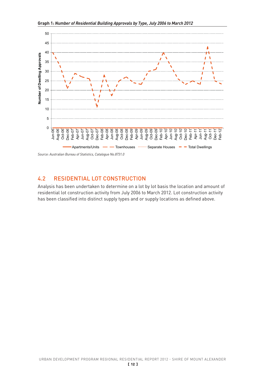

# 4.2 RESIDENTIAL LOT CONSTRUCTION

Analysis has been undertaken to determine on a lot by lot basis the location and amount of residential lot construction activity from July 2006 to March 2012. Lot construction activity has been classified into distinct supply types and or supply locations as defined above.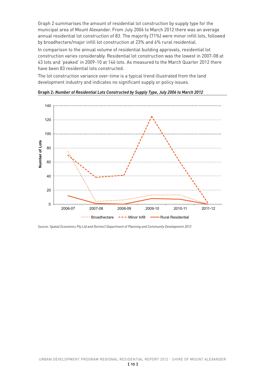Graph 2 summarises the amount of residential lot construction by supply type for the municipal area of Mount Alexander. From July 2006 to March 2012 there was an average annual residential lot construction of 83. The majority (71%) were minor infill lots, followed by broadhectare/major infill lot construction at 23% and 6% rural residential.

In comparison to the annual volume of residential building approvals, residential lot construction varies considerably. Residential lot construction was the lowest in 2007-08 at 43 lots and 'peaked' in 2009-10 at 146 lots. As measured to the March Quarter 2012 there have been 83 residential lots constructed.

The lot construction variance over-time is a typical trend illustrated from the land development industry and indicates no significant supply or policy issues.



**Graph 2:** *Number of Residential Lots Constructed by Supply Type, July 2006 to March 2012*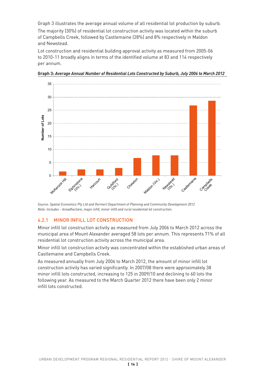Graph 3 illustrates the average annual volume of all residential lot production by suburb.

The majority (30%) of residential lot construction activity was located within the suburb of Campbells Creek, followed by Castlemaine (28%) and 8% respectively in Maldon and Newstead.

Lot construction and residential building approval activity as measured from 2005-06 to 2010-11 broadly aligns in terms of the identified volume at 83 and 114 respectively per annum.



**Graph 3:** *Average Annual Number of Residential Lots Constructed by Suburb, July 2006 to March 2012* 

*Source: Spatial Economics Pty Ltd and (former) Department of Planning and Community Development 2012 Note: Includes – broadhectare, major infill, minor infill and rural residential lot construction.*

# 4.2.1 MINOR INFILL LOT CONSTRUCTION

Minor infill lot construction activity as measured from July 2006 to March 2012 across the municipal area of Mount Alexander averaged 58 lots per annum. This represents 71% of all residential lot construction activity across the municipal area.

Minor infill lot construction activity was concentrated within the established urban areas of Castlemaine and Campbells Creek.

As measured annually from July 2006 to March 2012, the amount of minor infill lot construction activity has varied significantly. In 2007/08 there were approximately 38 minor infill lots constructed, increasing to 125 in 2009/10 and declining to 60 lots the following year. As measured to the March Quarter 2012 there have been only 2 minor infill lots constructed.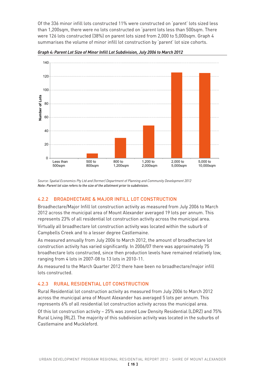Of the 336 minor infill lots constructed 11% were constructed on 'parent' lots sized less than 1,200sqm, there were no lots constructed on 'parent lots less than 500sqm. There were 126 lots constructed (38%) on parent lots sized from 2,000 to 5,000sqm. Graph 4 summarises the volume of minor infill lot construction by 'parent' lot size cohorts.



*Graph 4: Parent Lot Size of Minor Infill Lot Subdivision, July 2006 to March 2012*

*Source: Spatial Economics Pty Ltd and (former) Department of Planning and Community Development 2012 Note: Parent lot size refers to the size of the allotment prior to subdivision.*

# 4.2.2 BROADHECTARE & MAJOR INFILL LOT CONSTRUCTION

Broadhectare/Major Infill lot construction activity as measured from July 2006 to March 2012 across the municipal area of Mount Alexander averaged 19 lots per annum. This represents 23% of all residential lot construction activity across the municipal area.

Virtually all broadhectare lot construction activity was located within the suburb of Campbells Creek and to a lesser degree Castlemaine.

As measured annually from July 2006 to March 2012, the amount of broadhectare lot construction activity has varied significantly. In 2006/07 there was approximately 75 broadhectare lots constructed, since then production levels have remained relatively low, ranging from 4 lots in 2007-08 to 13 lots in 2010-11.

As measured to the March Quarter 2012 there have been no broadhectare/major infill lots constructed.

# 4.2.3 RURAL RESIDENTIAL LOT CONSTRUCTION

Rural Residential lot construction activity as measured from July 2006 to March 2012 across the municipal area of Mount Alexander has averaged 5 lots per annum. This represents 6% of all residential lot construction activity across the municipal area.

Of this lot construction activity – 25% was zoned Low Density Residential (LDRZ) and 75% Rural Living (RLZ). The majority of this subdivision activity was located in the suburbs of Castlemaine and Muckleford.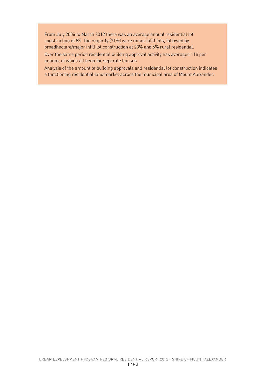From July 2006 to March 2012 there was an average annual residential lot construction of 83. The majority (71%) were minor infill lots, followed by broadhectare/major infill lot construction at 23% and 6% rural residential.

Over the same period residential building approval activity has averaged 114 per annum, of which all been for separate houses

Analysis of the amount of building approvals and residential lot construction indicates a functioning residential land market across the municipal area of Mount Alexander.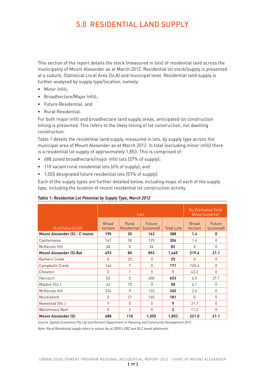# 5.0 RESIDENTIAL LAND SUPPLY

This section of the report details the stock (measured in lots) of residential land across the municipality of Mount Alexander as at March 2012. Residential lot stock/supply is presented at a suburb, Statistical Local Area (SLA) and municipal level. Residential land supply is further analysed by supply type/location, namely:

- Minor Infill:
- • Broadhectare/Major Infill;
- • Future Residential; and
- • Rural Residential.

For both major infill and broadhectare land supply areas, anticipated lot construction timing is presented. This refers to the likely timing of lot construction, not dwelling construction.

Table 1 details the residential land supply, measured in lots, by supply type across the municipal area of Mount Alexander as at March 2012. In total (excluding minor infill) there is a residential lot supply of approximately 1,853. This is comprised of:

- 688 zoned broadhectare/major infill lots (37% of supply);
- 110 vacant rural residential lots (6% of supply); and
- • 1,055 designated future residential lots (57% of supply).

Each of the supply types are further detailed below, including maps of each of the supply type, including the location of recent residential lot construction activity.

|                                      |                         | Lots                        |                     | No Estimated Yield<br>(Area hectares) |                         |                     |
|--------------------------------------|-------------------------|-----------------------------|---------------------|---------------------------------------|-------------------------|---------------------|
| SLA/Suburb/LGA                       | <b>Broad</b><br>hectare | Rural<br><b>Residential</b> | Future<br>(unzoned) | <b>Total Lots</b>                     | <b>Broad</b><br>hectare | Future<br>(unzoned) |
| <b>Mount Alexander (S) - C'maine</b> | 195                     | 30                          | 163                 | 388                                   | 1.4                     | 0                   |
| Castlemaine                          | 147                     | 30                          | 129                 | 306                                   | 1.4                     | $\Omega$            |
| McKenzie Hill                        | 48                      | $\Omega$                    | 34                  | 82                                    | $\Omega$                | $\Omega$            |
| <b>Mount Alexander (S) Bal</b>       | 493                     | 80                          | 892                 | 1,465                                 | 219.6                   | 21.1                |
| <b>Barkers Creek</b>                 | $\bigcap$               | 25                          | U                   | 25                                    | $\bigcap$               | $\bigcap$           |
| Campbells Creek                      | 164                     | 7                           | O                   | 171                                   | 120.4                   | $\Omega$            |
| Chewton                              | $\Omega$                | 1                           | O                   | 1                                     | 43.2                    | $\Omega$            |
| Harcourt                             | 53                      | $\Omega$                    | 600                 | 653                                   | 6.5                     | 21.1                |
| Maldon (Vic.)                        | 43                      | 15                          | $\Omega$            | 58                                    | 4.1                     | $\Omega$            |
| McKenzie Hill                        | 224                     | 9                           | 132                 | 365                                   | 2.6                     | $\Omega$            |
| Muckleford                           | $\bigcap$               | 21                          | 160                 | 181                                   | $\bigcap$               | $\Omega$            |
| Newstead (Vic.)                      | 9                       | $\Omega$                    | $\Omega$            | 9                                     | 31.7                    | $\Omega$            |
| <b>Welshmans Reef</b>                | $\bigcap$               | $\mathfrak{p}$              | O                   | $\overline{2}$                        | 11.2                    | $\Omega$            |
| <b>Mount Alexander (S)</b>           | 688                     | 110                         | 1,055               | 1,853                                 | 221.0                   | 21.1                |

#### **Table 1:** *Residential Lot Potential by Supply Type, March 2012*

*Source: Spatial Economics Pty Ltd and (former) Department of Planning and Community Development 2012*

*Note: Rural Residential supply refers to vacant (as at 2009) LDRZ and RLZ zoned allotments.*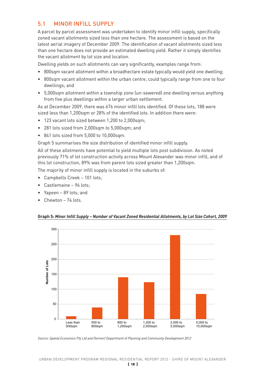# 5.1 MINOR INFILL SUPPLY

A parcel by parcel assessment was undertaken to identify minor infill supply, specifically zoned vacant allotments sized less than one hectare. The assessment is based on the latest aerial imagery of December 2009. The identification of vacant allotments sized less than one hectare does not provide an estimated dwelling yield. Rather it simply identifies the vacant allotment by lot size and location.

Dwelling yields on such allotments can vary significantly, examples range from:

- 800sqm vacant allotment within a broadhectare estate typically would yield one dwelling;
- 800sqm vacant allotment within the urban centre, could typically range from one to four dwellings; and
- • 5,000sqm allotment within a township zone (un-sewered) one dwelling versus anything from five plus dwellings within a larger urban settlement.

As at December 2009, there was 676 minor infill lots identified. Of these lots, 188 were sized less than 1,200sqm or 28% of the identified lots. In addition there were:

- 123 vacant lots sized between 1,200 to 2,000sqm:
- • 281 lots sized from 2,000sqm to 5,000sqm; and
- • 841 lots sized from 5,000 to 10,000sqm.

Graph 5 summarises the size distribution of identified minor infill supply.

All of these allotments have potential to yield multiple lots post subdivision. As noted previously 71% of lot construction activity across Mount Alexander was minor infill, and of this lot construction, 89% was from parent lots sized greater than 1,200sqm.

The majority of minor infill supply is located in the suburbs of:

- • Campbells Creek 101 lots;
- Castlemaine 96 lots;
- Yapeen 89 lots; and
- $Chewton 74$  lots.



#### **Graph 5:** *Minor Infill Supply – Number of Vacant Zoned Residential Allotments, by Lot Size Cohort, 2009*

*Source: Spatial Economics Pty Ltd and (former) Department of Planning and Community Development 2012*

 [ 18 ] URBAN DEVELOPMENT PROGRAM REGIONAL RESIDENTIAL REPORT 2012 - SHIRE OF MOUNT ALEXANDER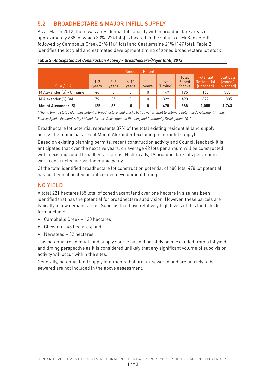# 5.2 BROADHECTARE & MAJOR INFILL SUPPLY

As at March 2012, there was a residential lot capacity within broadhectare areas of approximately 688, of which 33% (224 lots) is located in the suburb of McKenzie Hill, followed by Campbells Creek 24% (164 lots) and Castlemaine 21% (147 lots). Table 2 identifies the lot yield and estimated development timing of zoned broadhectare lot stock.

| <b>Zoned Lot Potential</b> |                  |                  |                   |                |                                     |                                 |                                         |                                           |
|----------------------------|------------------|------------------|-------------------|----------------|-------------------------------------|---------------------------------|-----------------------------------------|-------------------------------------------|
| SLA/LGA                    | $1 - 2$<br>years | $3 - 5$<br>years | $6 - 10$<br>years | $11+$<br>years | <b>No</b><br>$T$ iming <sup>3</sup> | Total<br>Zoned<br><b>Stocks</b> | ' Potential<br>Residential<br>(unzoned) | <b>Total Lots</b><br>(zoned/<br>un-zonedl |
| M Alexander (S) - C'maine  | 46               |                  |                   | 0              | 149                                 | 195                             | 163                                     | 358                                       |
| M Alexander (S) Bal        | 79               | 85               |                   | 0              | 329                                 | 493                             | 892                                     | 1,385                                     |
| <b>Mount Alexander (S)</b> | 125              | 85               |                   |                | 478                                 | 688                             | 1,055                                   | 1,743                                     |

# **Table 2***: Anticipated Lot Construction Activity – Broadhectare/Major Infill, 2012*

**<sup>3</sup>***The no timing status identifies potential broadhectare land stocks but do not attempt to estimate potential development timing.*

*Source: Spatial Economics Pty Ltd and (former) Department of Planning and Community Development 2012*

Broadhectare lot potential represents 37% of the total existing residential land supply across the municipal area of Mount Alexander (excluding minor infill supply).

Based on existing planning permits, recent construction activity and Council feedback it is anticipated that over the next five years, on average 42 lots per annum will be constructed within existing zoned broadhectare areas. Historically, 19 broadhectare lots per annum were constructed across the municipality.

Of the total identified broadhectare lot construction potential of 688 lots, 478 lot potential has not been allocated an anticipated development timing.

# NO YIELD

A total 221 hectares (65 lots) of zoned vacant land over one hectare in size has been identified that has the potential for broadhectare subdivision. However, these parcels are typically in low demand areas. Suburbs that have relatively high levels of this land stock form include:

- • Campbells Creek 120 hectares;
- Chewton 43 hectares: and
- • Newstead 32 hectares.

This potential residential land supply source has deliberately been excluded from a lot yield and timing perspective as it is considered unlikely that any significant volume of subdivision activity will occur within the sites.

Generally, potential land supply allotments that are un-sewered and are unlikely to be sewered are not included in the above assessment.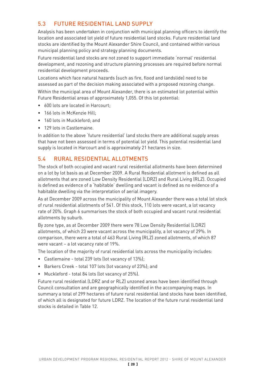# 5.3 FUTURE RESIDENTIAL LAND SUPPLY

Analysis has been undertaken in conjunction with municipal planning officers to identify the location and associated lot yield of future residential land stocks. Future residential land stocks are identified by the Mount Alexander Shire Council, and contained within various municipal planning policy and strategy planning documents.

Future residential land stocks are not zoned to support immediate 'normal' residential development, and rezoning and structure planning processes are required before normal residential development proceeds.

Locations which face natural hazards (such as fire, flood and landslide) need to be assessed as part of the decision making associated with a proposed rezoning change. Within the municipal area of Mount Alexander, there is an estimated lot potential within Future Residential areas of approximately 1,055. Of this lot potential:

- 600 lots are located in Harcourt;
- 166 lots in McKenzie Hill:
- 160 lots in Muckleford: and
- 129 lots in Castlemaine.

In addition to the above 'future residential' land stocks there are additional supply areas that have not been assessed in terms of potential lot yield. This potential residential land supply is located in Harcourt and is approximately 21 hectares in size.

# 5.4 RURAL RESIDENTIAL ALLOTMENTS

The stock of both occupied and vacant rural residential allotments have been determined on a lot by lot basis as at December 2009. A Rural Residential allotment is defined as all allotments that are zoned Low Density Residential (LDRZ) and Rural Living (RLZ). Occupied is defined as evidence of a 'habitable' dwelling and vacant is defined as no evidence of a habitable dwelling via the interpretation of aerial imagery.

As at December 2009 across the municipality of Mount Alexander there was a total lot stock of rural residential allotments of 541. Of this stock, 110 lots were vacant, a lot vacancy rate of 20%. Graph 6 summarises the stock of both occupied and vacant rural residential allotments by suburb.

By zone type, as at December 2009 there were 78 Low Density Residential (LDRZ) allotments, of which 23 were vacant across the municipality, a lot vacancy of 29%. In comparison, there were a total of 463 Rural Living (RLZ) zoned allotments, of which 87 were vacant – a lot vacancy rate of 19%.

The location of the majority of rural residential lots across the municipality includes:

- Castlemaine total 239 lots (lot vacancy of 13%);
- • Barkers Creek total 107 lots (lot vacancy of 23%); and
- Muckleford total 84 lots (lot vacancy of 25%).

Future rural residential (LDRZ and or RLZ) unzoned areas have been identified through Council consultation and are geographically identified in the accompanying maps. In summary a total of 299 hectares of future rural residential land stocks have been identified, of which all is designated for future LDRZ. The location of the future rural residential land stocks is detailed in Table 12.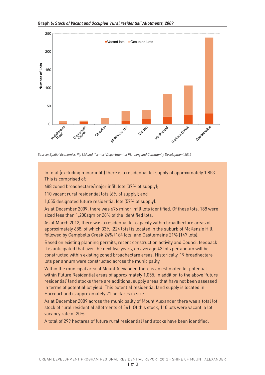

*Source: Spatial Economics Pty Ltd and (former) Department of Planning and Community Development 2012*

In total (excluding minor infill) there is a residential lot supply of approximately 1,853. This is comprised of:

688 zoned broadhectare/major infill lots (37% of supply);

110 vacant rural residential lots (6% of supply); and

1,055 designated future residential lots (57% of supply).

As at December 2009, there was 676 minor infill lots identified. Of these lots, 188 were sized less than 1,200sqm or 28% of the identified lots.

As at March 2012, there was a residential lot capacity within broadhectare areas of approximately 688, of which 33% (224 lots) is located in the suburb of McKenzie Hill, followed by Campbells Creek 24% (164 lots) and Castlemaine 21% (147 lots).

Based on existing planning permits, recent construction activity and Council feedback it is anticipated that over the next five years, on average 42 lots per annum will be constructed within existing zoned broadhectare areas. Historically, 19 broadhectare lots per annum were constructed across the municipality.

Within the municipal area of Mount Alexander, there is an estimated lot potential within Future Residential areas of approximately 1,055. In addition to the above 'future residential' land stocks there are additional supply areas that have not been assessed in terms of potential lot yield. This potential residential land supply is located in Harcourt and is approximately 21 hectares in size.

As at December 2009 across the municipality of Mount Alexander there was a total lot stock of rural residential allotments of 541. Of this stock, 110 lots were vacant, a lot vacancy rate of 20%.

A total of 299 hectares of future rural residential land stocks have been identified.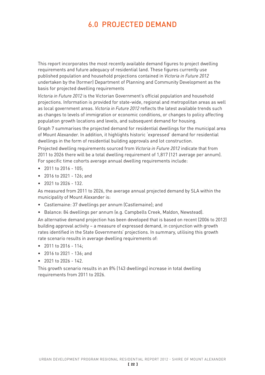# 6.0 PROJECTED DEMAND

This report incorporates the most recently available demand figures to project dwelling requirements and future adequacy of residential land. These figures currently use published population and household projections contained in *Victoria in Future 2012* undertaken by the (former) Department of Planning and Community Development as the basis for projected dwelling requirements

*Victoria in Future 2012* is the Victorian Government's official population and household projections. Information is provided for state-wide, regional and metropolitan areas as well as local government areas. *Victoria in Future 2012* reflects the latest available trends such as changes to levels of immigration or economic conditions, or changes to policy affecting population growth locations and levels, and subsequent demand for housing.

Graph 7 summarises the projected demand for residential dwellings for the municipal area of Mount Alexander. In addition, it highlights historic 'expressed' demand for residential dwellings in the form of residential building approvals and lot construction.

Projected dwelling requirements sourced from *Victoria in Future 2012* indicate that from 2011 to 2026 there will be a total dwelling requirement of 1,817 (121 average per annum). For specific time cohorts average annual dwelling requirements include:

- • 2011 to 2016 105;
- • 2016 to 2021 126; and
- $\bullet$  2021 to 2026 132.

As measured from 2011 to 2026, the average annual projected demand by SLA within the municipality of Mount Alexander is:

- Castlemaine: 37 dwellings per annum (Castlemaine); and
- Balance: 84 dwellings per annum (e.g. Campbells Creek, Maldon, Newstead).

An alternative demand projection has been developed that is based on recent (2006 to 2012) building approval activity – a measure of expressed demand, in conjunction with growth rates identified in the State Governments' projections. In summary, utilising this growth rate scenario results in average dwelling requirements of:

- • 2011 to 2016 114;
- • 2016 to 2021 136; and
- $\bullet$  2021 to 2026 142.

This growth scenario results in an 8% (143 dwellings) increase in total dwelling requirements from 2011 to 2026.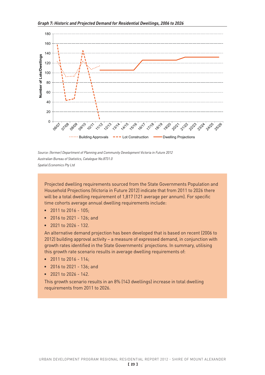

*Source: (former) Department of Planning and Community Development Victoria in Future 2012 Australian Bureau of Statistics, Catalogue No.8731.0 Spatial Economics Pty Ltd*

Projected dwelling requirements sourced from the State Governments Population and Household Projections (Victoria in Future 2012) indicate that from 2011 to 2026 there will be a total dwelling requirement of 1,817 (121 average per annum). For specific time cohorts average annual dwelling requirements include:

- • 2011 to 2016 105;
- • 2016 to 2021 126; and
- • 2021 to 2026 132.

An alternative demand projection has been developed that is based on recent (2006 to 2012) building approval activity – a measure of expressed demand, in conjunction with growth rates identified in the State Governments' projections. In summary, utilising this growth rate scenario results in average dwelling requirements of:

- 2011 to 2016 114;
- • 2016 to 2021 136; and
- • 2021 to 2026 142.

This growth scenario results in an 8% (143 dwellings) increase in total dwelling requirements from 2011 to 2026.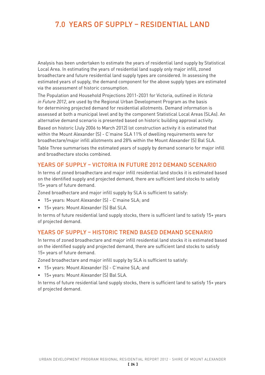# 7.0 YEARS OF SUPPLY – RESIDENTIAL LAND

Analysis has been undertaken to estimate the years of residential land supply by Statistical Local Area. In estimating the years of residential land supply only major infill, zoned broadhectare and future residential land supply types are considered. In assessing the estimated years of supply, the demand component for the above supply types are estimated via the assessment of historic consumption.

The Population and Household Projections 2011-2031 for Victoria, outlined in *Victoria in Future 2012*, are used by the Regional Urban Development Program as the basis for determining projected demand for residential allotments. Demand information is assessed at both a municipal level and by the component Statistical Local Areas (SLAs). An alternative demand scenario is presented based on historic building approval activity.

Based on historic (July 2006 to March 2012) lot construction activity it is estimated that within the Mount Alexander (S) - C'maine SLA 11% of dwelling requirements were for broadhectare/major infill allotments and 28% within the Mount Alexander (S) Bal SLA. Table Three summarises the estimated years of supply by demand scenario for major infill and broadhectare stocks combined.

# YEARS OF SUPPLY – VICTORIA IN FUTURE 2012 DEMAND SCENARIO

In terms of zoned broadhectare and major infill residential land stocks it is estimated based on the identified supply and projected demand, there are sufficient land stocks to satisfy 15+ years of future demand.

Zoned broadhectare and major infill supply by SLA is sufficient to satisfy:

- • 15+ years: Mount Alexander (S) C'maine SLA; and
- • 15+ years: Mount Alexander (S) Bal SLA.

In terms of future residential land supply stocks, there is sufficient land to satisfy 15+ years of projected demand.

# YEARS OF SUPPLY – HISTORIC TREND BASED DEMAND SCENARIO

In terms of zoned broadhectare and major infill residential land stocks it is estimated based on the identified supply and projected demand, there are sufficient land stocks to satisfy 15+ years of future demand.

Zoned broadhectare and major infill supply by SLA is sufficient to satisfy:

- • 15+ years: Mount Alexander (S) C'maine SLA; and
- • 15+ years: Mount Alexander (S) Bal SLA.

In terms of future residential land supply stocks, there is sufficient land to satisfy 15+ years of projected demand.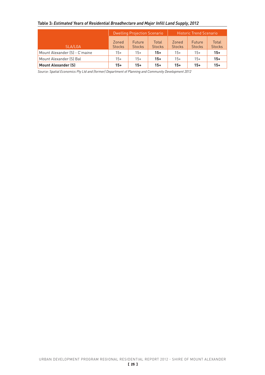# **Table 3***: Estimated Years of Residential Broadhectare and Major Infill Land Supply, 2012*

|                               |                        | <b>Dwelling Projection Scenario</b> |                        |                        | <b>Historic Trend Scenario</b> |                        |
|-------------------------------|------------------------|-------------------------------------|------------------------|------------------------|--------------------------------|------------------------|
| SLA/LGA                       | Zoned<br><b>Stocks</b> | <b>Future</b><br><b>Stocks</b>      | Total<br><b>Stocks</b> | Zoned<br><b>Stocks</b> | Future<br><b>Stocks</b>        | Total<br><b>Stocks</b> |
| Mount Alexander (S) - C'maine | $15+$                  | 15+                                 | $15+$                  | $15+$                  | $15+$                          | $15+$                  |
| Mount Alexander (S) Bal       | $15+$                  | 15+                                 | $15+$                  | $15+$                  | $15+$                          | $15+$                  |
| <b>Mount Alexander (S)</b>    | $15+$                  | $15+$                               | $15+$                  | $15+$                  | $15+$                          | $15+$                  |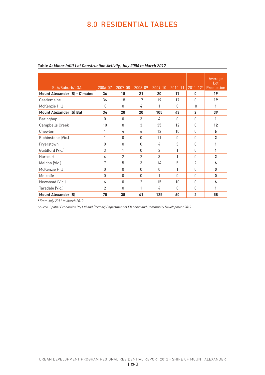# 8.0 RESIDENTIAL TABLES

| SLA/Suburb/LGA                       | 2006-07        | 2007-08        | 2008-09        | $2009 - 10$    | 2010-11      | $2011 - 124$   | Average<br>$_{\text{Lot}}$<br>Production |
|--------------------------------------|----------------|----------------|----------------|----------------|--------------|----------------|------------------------------------------|
| <b>Mount Alexander (S) - C'maine</b> | 36             | 18             | 21             | 20             | 17           | 0              | 19                                       |
| Castlemaine                          | 36             | 18             | 17             | 19             | 17           | $\Omega$       | 19                                       |
| McKenzie Hill                        | $\Omega$       | $\cap$         | 4              | 1              | <sup>n</sup> | $\cap$         | 1                                        |
| <b>Mount Alexander (S) Bal</b>       | 34             | 20             | 20             | 105            | 43           | $\overline{2}$ | 39                                       |
| Baringhup                            | $\Omega$       | $\cap$         | 3              | 4              | $\Omega$     | $\Omega$       | 1                                        |
| Campbells Creek                      | 10             | 8              | 3              | 35             | 12           | $\mathbf{0}$   | 12                                       |
| Chewton                              | 1              | 4              | 6              | 12             | 10           | $\mathbf{0}$   | 6                                        |
| Elphinstone (Vic.)                   | 1              | $\cap$         | $\bigcap$      | 11             | $\Omega$     | O              | $\overline{2}$                           |
| Fryerstown                           | 0              | $\Omega$       | $\Omega$       | 4              | 3            | $\mathbf{0}$   | 1                                        |
| Guildford (Vic.)                     | 3              | 1              | $\Omega$       | $\mathfrak{D}$ | 1            | $\mathbf{0}$   | 1                                        |
| Harcourt                             | 4              | $\mathfrak{p}$ | $\overline{2}$ | 3              | 1            | $\Omega$       | $\overline{2}$                           |
| Maldon (Vic.)                        | 7              | 5              | 3              | 14             | 5            | $\overline{2}$ | 6                                        |
| McKenzie Hill                        | 0              | $\Omega$       | $\Omega$       | $\mathbf{0}$   | 1            | $\mathbf{0}$   | 0                                        |
| Metcalfe                             | O              | $\Omega$       | $\Omega$       | 1              | $\Omega$     | O              | 0                                        |
| Newstead (Vic.)                      | 6              | $\cap$         | $\overline{2}$ | 15             | 10           | $\Omega$       | 6                                        |
| Taradale (Vic.)                      | $\overline{2}$ | $\cap$         | 1              | 4              | $\bigcap$    | $\Omega$       | 1                                        |
| <b>Mount Alexander (S)</b>           | 70             | 38             | 41             | 125            | 60           | $\overline{2}$ | 58                                       |

#### **Table 4:** *Minor Infill Lot Construction Activity, July 2006 to March 2012*

**<sup>4</sup>** *From July 2011 to March 2012*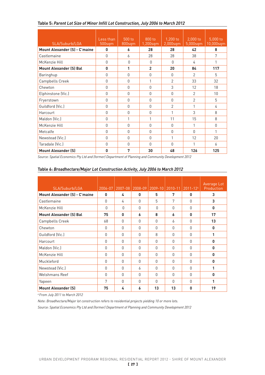| SLA/Suburb/LGA                       | Less than<br>500sqm | 500 to<br>800sqm | 800 to<br>1,200sqm | 1,200 to<br>2,000sqm | 2,000 to<br>5,000sqm | 5,000 to<br>10,000sqm |
|--------------------------------------|---------------------|------------------|--------------------|----------------------|----------------------|-----------------------|
| <b>Mount Alexander (S) - C'maine</b> | 0                   | 6                | 28                 | 28                   | 42                   | 8                     |
| Castlemaine                          | $\Omega$            | 6                | 28                 | 28                   | 38                   | 7                     |
| McKenzie Hill                        | $\Omega$            | $\mathbf{0}$     | $\Omega$           | $\Omega$             | 4                    | 1                     |
| <b>Mount Alexander (S) Bal</b>       | 0                   | 1                | $\overline{2}$     | 20                   | 84                   | 117                   |
| Baringhup                            | 0                   | $\mathbf{0}$     | $\mathbf{0}$       | $\Omega$             | 2                    | 5                     |
| Campbells Creek                      | $\bigcap$           | $\mathbf{0}$     | 1                  | $\mathfrak{D}$       | 33                   | 32                    |
| Chewton                              | U                   | $\mathbf{0}$     | 0                  | 3                    | 12                   | 18                    |
| Elphinstone (Vic.)                   | $\Omega$            | $\mathbf{0}$     | $\mathbf{0}$       | $\Omega$             | $\mathcal{P}$        | 10                    |
| Fryerstown                           | $\Omega$            | $\mathbf{0}$     | 0                  | $\Omega$             | $\overline{2}$       | 5                     |
| Guildford (Vic.)                     | $\Omega$            | $\mathbf{0}$     | $\mathbf{0}$       | $\overline{2}$       | 1                    | 4                     |
| Harcourt                             | 0                   | $\mathbf{0}$     | 0                  | 1                    | 3                    | 8                     |
| Maldon (Vic.)                        | $\Omega$            | 1                | 1                  | 11                   | 15                   | 8                     |
| McKenzie Hill                        | $\Omega$            | $\mathbf{0}$     | 0                  | $\Omega$             | 1                    | $\mathbf{0}$          |
| Metcalfe                             | $\cap$              | $\Omega$         | $\mathbf{0}$       | $\Omega$             | $\cap$               | 1                     |
| Newstead (Vic.)                      | $\Omega$            | $\Omega$         | 0                  | $\mathbf{1}$         | 12                   | 20                    |
| Taradale (Vic.)                      | $\bigcap$           | $\Omega$         | $\Omega$           | <sup>n</sup>         | 1                    | 6                     |
| <b>Mount Alexander (S)</b>           | 0                   | 7                | 30                 | 48                   | 126                  | 125                   |

# **Table 5:** *Parent Lot Size of Minor Infill Lot Construction, July 2006 to March 2012*

*Source: Spatial Economics Pty Ltd and (former) Department of Planning and Community Development 2012*

#### **Table 6:** *Broadhectare/Major Lot Construction Activity, July 2006 to March 2012*

| SLA/Suburb/LGA                       | 2006-07      | 2007-08      | 2008-09  | 2009-10   | $2010 - 11$ | $2011 - 124$ | Average Lot<br>Production |
|--------------------------------------|--------------|--------------|----------|-----------|-------------|--------------|---------------------------|
| <b>Mount Alexander (S) - C'maine</b> | 0            | 4            | 0        | 5         | 7           | 0            | 3                         |
| Castlemaine                          | 0            | 4            | $\Omega$ | 5         | 7           | $\Omega$     | 3                         |
| McKenzie Hill                        | $\Omega$     | $\cap$       | $\Omega$ | O         | $\Omega$    | $\Omega$     | $\mathbf{0}$              |
| <b>Mount Alexander (S) Bal</b>       | 75           | $\mathbf{0}$ | 6        | 8         | 6           | 0            | 17                        |
| Campbells Creek                      | 68           | $\Omega$     | 0        | $\Omega$  | 6           | 0            | 13                        |
| Chewton                              | 0            | $\Omega$     | $\Omega$ | $\Omega$  | $\Omega$    | $\Omega$     | $\mathbf{0}$              |
| Guildford (Vic.)                     | $\mathbf{0}$ | $\Omega$     | 0        | 8         | $\Omega$    | $\Omega$     | 1                         |
| Harcourt                             | 0            | $\Omega$     | $\Omega$ | $\Omega$  | $\Omega$    | $\Omega$     | $\mathbf{0}$              |
| Maldon (Vic.)                        | O            | $\Omega$     | $\Omega$ | $\bigcap$ | $\Omega$    | $\Omega$     | $\mathbf{0}$              |
| McKenzie Hill                        | O            | $\Omega$     | $\Omega$ | $\Omega$  | $\Omega$    | $\Omega$     | $\mathbf{0}$              |
| Muckleford                           | 0            | $\Omega$     | 0        | $\Omega$  | $\Omega$    | 0            | $\mathbf{0}$              |
| Newstead (Vic.)                      | 0            | $\Omega$     | 6        | $\Omega$  | $\Omega$    | 0            | 1                         |
| Welshmans Reef                       | $\Omega$     | $\Omega$     | $\Omega$ | $\bigcap$ | $\Omega$    | $\Omega$     | $\mathbf{0}$              |
| Yapeen                               | 7            | $\Omega$     | $\Omega$ | $\bigcap$ | $\Omega$    | $\Omega$     | 1                         |
| <b>Mount Alexander (S)</b>           | 75           | 4            | 6        | 13        | 13          | 0            | 19                        |

*4 From July 2011 to March 2012*

*Note: Broadhectare/Major lot construction refers to residential projects yielding 10 or more lots.*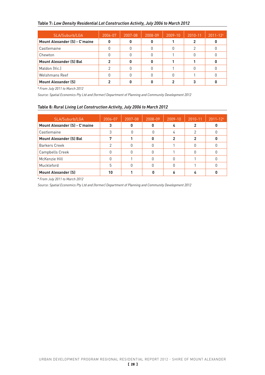# **Table 7:** *Low Density Residential Lot Construction Activity, July 2006 to March 2012*

| SLA/Suburb/LGA                       | 2006-07 | 2007-08 | 2008-09 | 2009-10 | 2010-11 | $2011 - 124$ |
|--------------------------------------|---------|---------|---------|---------|---------|--------------|
| <b>Mount Alexander (S) - C'maine</b> |         |         |         |         |         |              |
| Castlemaine                          | 0       |         |         |         | っ       |              |
| Chewton                              |         |         |         |         |         |              |
| <b>Mount Alexander (S) Bal</b>       | 2       | n       |         |         |         |              |
| Maldon (Vic.)                        | っ       |         |         |         | Ŋ       |              |
| Welshmans Reef                       |         |         |         |         |         |              |
| <b>Mount Alexander (S)</b>           |         |         |         |         |         |              |

**<sup>4</sup>** *From July 2011 to March 2012*

*Source: Spatial Economics Pty Ltd and (former) Department of Planning and Community Development 2012*

#### **Table 8***: Rural Living Lot Construction Activity, July 2006 to March 2012*

| SLA/Suburb/LGA                       | 2006-07 | 2007-08 | 2008-09 | $2009 - 10$ | 2010-11 | $2011 - 124$ |
|--------------------------------------|---------|---------|---------|-------------|---------|--------------|
| <b>Mount Alexander (S) - C'maine</b> |         |         |         |             |         |              |
| Castlemaine                          | 3       |         |         |             | 2       |              |
| <b>Mount Alexander (S) Bal</b>       |         |         |         |             | 2       |              |
| <b>Barkers Creek</b>                 |         |         |         |             |         |              |
| Campbells Creek                      |         |         |         |             |         |              |
| McKenzie Hill                        |         |         |         |             |         |              |
| Muckleford                           | 5       |         |         |             |         |              |
| <b>Mount Alexander (S)</b>           | 10      |         |         |             |         |              |

**<sup>4</sup>** *From July 2011 to March 2012*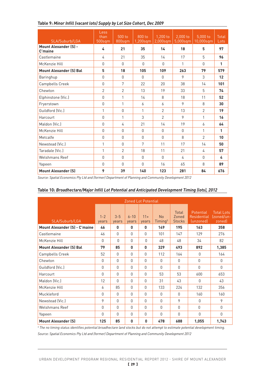| SLA/Suburb/LGA                          | Less<br>than<br>500sqm | 500 to<br>800sqm | 800 to<br>$1,200$ sqm | $1,200$ to<br>$2,000$ sqm | $2,000$ to<br>$5,000$ sqm | 5.000 to<br>10,000sqm | Total<br>Lots |
|-----------------------------------------|------------------------|------------------|-----------------------|---------------------------|---------------------------|-----------------------|---------------|
| <b>Mount Alexander (S) -</b><br>C'maine | 4                      | 21               | 35                    | 14                        | 18                        | 5                     | 97            |
| Castlemaine                             | 4                      | 21               | 35                    | 14                        | 17                        | 5                     | 96            |
| McKenzie Hill                           | $\Omega$               | $\Omega$         | $\Omega$              | $\Omega$                  | 1                         | $\Omega$              | 1             |
| <b>Mount Alexander (S) Bal</b>          | 5                      | 18               | 105                   | 109                       | 263                       | 79                    | 579           |
| Baringhup                               | $\cap$                 | $\cap$           | $\cap$                | $\cap$                    | 9                         | 3                     | 12            |
| Campbells Creek                         | $\Omega$               | 7                | 22                    | 20                        | 38                        | 14                    | 101           |
| Chewton                                 | $\overline{2}$         | $\overline{2}$   | 13                    | 19                        | 33                        | 5                     | 74            |
| Elphinstone (Vic.)                      | $\Omega$               | 1                | 14                    | 8                         | 18                        | 11                    | 52            |
| Fryerstown                              | 0                      | 1                | 6                     | 6                         | 9                         | 8                     | 30            |
| Guildford (Vic.)                        | 1                      | $\Omega$         | 1                     | $\mathcal{P}$             | 13                        | $\mathfrak{D}$        | 19            |
| Harcourt                                | $\Omega$               | 1                | 3                     | $\mathfrak{D}$            | 9                         | 1                     | 16            |
| Maldon (Vic.)                           | $\Omega$               | 4                | 21                    | 14                        | 19                        | 6                     | 64            |
| McKenzie Hill                           | $\Omega$               | $\Omega$         | $\Omega$              | $\Omega$                  | $\Omega$                  | 1                     | 1             |
| Metcalfe                                | 0                      | $\Omega$         | $\Omega$              | $\Omega$                  | 8                         | $\mathfrak{D}$        | 10            |
| Newstead (Vic.)                         | 1                      | $\cap$           | 7                     | 11                        | 17                        | 14                    | 50            |
| Taradale (Vic.)                         | 1                      | $\mathcal{P}$    | 18                    | 11                        | 21                        | 4                     | 57            |
| Welshmans Reef                          | $\Omega$               | $\Omega$         | $\Omega$              | $\Omega$                  | 4                         | $\Omega$              | 4             |
| Yapeen                                  | $\Omega$               | $\Omega$         | $\Omega$              | 16                        | 65                        | 8                     | 89            |
| <b>Mount Alexander (S)</b>              | 9                      | 39               | 140                   | 123                       | 281                       | 84                    | 676           |

# **Table 9:** *Minor Infill (vacant lots) Supply by Lot Size Cohort, Dec 2009*

*Source: Spatial Economics Pty Ltd and (former) Department of Planning and Community Development 2012*

|                                      |                  |                  | <b>Zoned Lot Potential</b> |                |                                  |                                 |                                              |                                           |
|--------------------------------------|------------------|------------------|----------------------------|----------------|----------------------------------|---------------------------------|----------------------------------------------|-------------------------------------------|
| SLA/Suburb/LGA                       | $1 - 2$<br>years | $3 - 5$<br>years | $6 - 10$<br>years          | $11+$<br>years | <b>No</b><br>Timing <sup>5</sup> | Total<br>Zoned<br><b>Stocks</b> | Potential<br><b>Residential</b><br>(unzoned) | <b>Total Lots</b><br>(zoned/un-<br>zoned) |
| <b>Mount Alexander (S) - C'maine</b> | 46               | $\mathbf{0}$     | 0                          | 0              | 149                              | 195                             | 163                                          | 358                                       |
| Castlemaine                          | 46               | $\Omega$         | 0                          | $\mathbf{0}$   | 101                              | 147                             | 129                                          | 276                                       |
| McKenzie Hill                        | 0                | $\Omega$         | 0                          | 0              | 48                               | 48                              | 34                                           | 82                                        |
| <b>Mount Alexander (S) Bal</b>       | 79               | 85               | 0                          | 0              | 329                              | 493                             | 892                                          | 1,385                                     |
| Campbells Creek                      | 52               | $\Omega$         | $\Omega$                   | $\Omega$       | 112                              | 164                             | $\Omega$                                     | 164                                       |
| Chewton                              | 0                | $\Omega$         | $\Omega$                   | $\Omega$       | $\Omega$                         | $\Omega$                        | 0                                            | $\Omega$                                  |
| Guildford (Vic.)                     | 0                | $\Omega$         | 0                          | $\Omega$       | $\Omega$                         | $\Omega$                        | $\Omega$                                     | $\Omega$                                  |
| Harcourt                             | 0                | $\Omega$         | 0                          | $\mathbf{0}$   | 53                               | 53                              | 600                                          | 653                                       |
| Maldon (Vic.)                        | 12               | $\Omega$         | 0                          | $\Omega$       | 31                               | 43                              | 0                                            | 43                                        |
| McKenzie Hill                        | 6                | 85               | 0                          | $\Omega$       | 133                              | 224                             | 132                                          | 356                                       |
| Muckleford                           | 0                | $\mathbf{0}$     | 0                          | $\Omega$       | $\mathbf{0}$                     | $\mathbf{0}$                    | 160                                          | 160                                       |
| Newstead (Vic.)                      | 9                | $\Omega$         | $\Omega$                   | $\Omega$       | $\Omega$                         | 9                               | 0                                            | 9                                         |
| <b>Welshmans Reef</b>                | O                | $\Omega$         | 0                          | $\Omega$       | $\Omega$                         | $\Omega$                        | 0                                            | $\Omega$                                  |
| Yapeen                               | 0                | $\Omega$         | 0                          | $\mathbf{0}$   | 0                                | $\Omega$                        | 0                                            | $\mathbf{0}$                              |
| <b>Mount Alexander (S)</b>           | 125              | 85               | 0                          | $\mathbf{0}$   | 478                              | 688                             | 1,055                                        | 1,743                                     |

| Table 10: Broadhectare/Major Infill Lot Potential and Anticipated Development Timing (lots), 2012 |  |
|---------------------------------------------------------------------------------------------------|--|
|---------------------------------------------------------------------------------------------------|--|

*5 The no timing status identifies potential broadhectare land stocks but do not attempt to estimate potential development timing. Source: Spatial Economics Pty Ltd and (former) Department of Planning and Community Development 2012*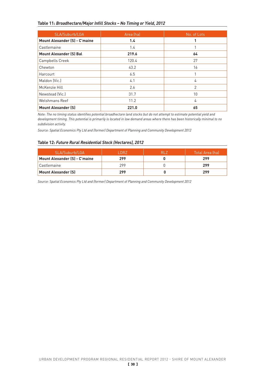#### **Table 11:** *Broadhectare/Major Infill Stocks – No Timing or Yield, 2012*

| SLA/Suburb/LGA                       | Area (ha) | No. of Lots |
|--------------------------------------|-----------|-------------|
| <b>Mount Alexander (S) - C'maine</b> | 1.4       | 1           |
| Castlemaine                          | 1.4       |             |
| <b>Mount Alexander (S) Bal</b>       | 219.6     | 64          |
| Campbells Creek                      | 120.4     | 27          |
| Chewton                              | 43.2      | 16          |
| Harcourt                             | 6.5       | 1           |
| Maldon (Vic.)                        | 4.1       | 4           |
| McKenzie Hill                        | 2.6       | 2           |
| Newstead (Vic.)                      | 31.7      | 10          |
| Welshmans Reef                       | 11.2      | 4           |
| <b>Mount Alexander (S)</b>           | 221.0     | 65          |

*Note: The no timing status identifies potential broadhectare land stocks but do not attempt to estimate potential yield and development timing. This potential is primarily is located in low demand areas where there has been historically minimal to no subdivision activity.*

*Source: Spatial Economics Pty Ltd and (former) Department of Planning and Community Development 2012*

#### **Table 12:** *Future Rural Residential Stock (Hectares), 2012*

| SLA/Suburb/LGA                       | DR <sub>7</sub> | RI 7 | Total Area (ha) |
|--------------------------------------|-----------------|------|-----------------|
| <b>Mount Alexander (S) - C'maine</b> | 299             |      | 299             |
| Castlemaine                          | 299             |      | 299             |
| Mount Alexander (S)                  | 299             |      | 299             |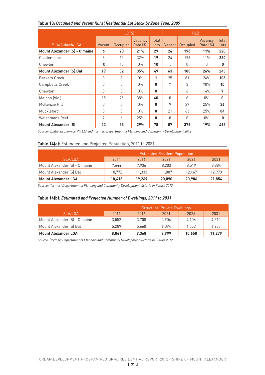|                                      |          | <b>LDRZ</b> |                     |               |          | <b>RLZ</b>   |                     |                      |
|--------------------------------------|----------|-------------|---------------------|---------------|----------|--------------|---------------------|----------------------|
| SLA/Suburb/LGA                       | Vacant   | Occupied    | Vacancy<br>Rate [%] | Total<br>Lots | Vacant   | Occupied     | Vacancy<br>Rate (%) | <b>Total</b><br>Lots |
| <b>Mount Alexander (S) - C'maine</b> | 6        | 23          | 21%                 | 29            | 24       | 196          | 11%                 | 220                  |
| Castlemaine                          | 6        | 13          | 32%                 | 19            | 24       | 196          | 11%                 | 220                  |
| Chewton                              | 0        | 10          | $0\%$               | 10            | 0        | $\mathbf{0}$ | 0                   | 0                    |
| <b>Mount Alexander (S) Bal</b>       | 17       | 32          | 35%                 | 49            | 63       | 180          | 26%                 | 243                  |
| <b>Barkers Creek</b>                 | 0        | 1           | $0\%$               | 1             | 25       | 81           | 24%                 | 106                  |
| Campbells Creek                      | $\Omega$ | O           | $0\%$               | $\mathbf{0}$  | 7        | 3            | 70%                 | 10                   |
| Chewton                              | 0        | 0           | $0\%$               | 0             | 1        | 6            | 14%                 | 7                    |
| Maldon (Vic.)                        | 15       | 25          | 38%                 | 40            | $\Omega$ | $\Omega$     | $0\%$               | 0                    |
| McKenzie Hill                        | 0        | 0           | $0\%$               | 0             | 9        | 27           | 25%                 | 36                   |
| Muckleford                           | $\Omega$ | $\Omega$    | $0\%$               | $\mathbf{0}$  | 21       | 63           | 25%                 | 84                   |
| Welshmans Reef                       | 2        | 6           | 25%                 | 8             | 0        | 0            | $0\%$               | 0                    |
| <b>Mount Alexander (S)</b>           | 23       | 55          | 29%                 | 78            | 87       | 376          | 19%                 | 463                  |

# **Table 13:** *Occupied and Vacant Rural Residential Lot Stock by Zone Type, 2009*

*Source: Spatial Economics Pty Ltd and (former) Department of Planning and Community Development 2012*

#### **Table 14(a):** Estimated and Projected Population, 2011 to 2031

|                               |        |        | <b>Estimated Resident Population</b> |        |        |
|-------------------------------|--------|--------|--------------------------------------|--------|--------|
| SLA/LGA                       | 2011   | 2016   | 2021                                 | 2026   | 2031   |
| Mount Alexander [S] - C'maine | 7.644  | 7.936  | 8.203                                | 8.519  | 8.884  |
| Mount Alexander (S) Bal       | 10.772 | 11.333 | 11.887                               | 12.467 | 12.970 |
| <b>Mount Alexander LGA</b>    | 18.416 | 19.269 | 20,090                               | 20.986 | 21,854 |

*Source: (former) Department of Planning and Community Development Victoria in Future 2012*

#### **Table 14(b):** *Estimated and Projected Number of Dwellings, 2011 to 2031*

|                               |       |       | <b>Structural Private Dwellings</b> |        |        |
|-------------------------------|-------|-------|-------------------------------------|--------|--------|
| SLA/LGA                       | 2011  | 2016  | 2021                                | 2026   | 2031   |
| Mount Alexander (S) - C'maine | 3.552 | 3.708 | 3.904                               | 4.106  | 4.310  |
| Mount Alexander (S) Bal       | 5.289 | 5.660 | 6.094                               | 6,552  | 6.970  |
| <b>Mount Alexander LGA</b>    | 8.841 | 9.368 | 9.999                               | 10.658 | 11,279 |

*Source: (former) Department of Planning and Community Development Victoria in Future 2012*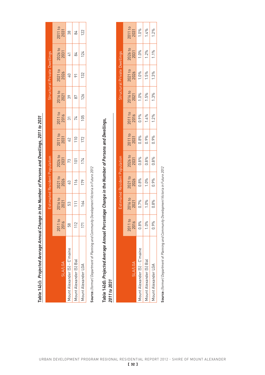|                               |                          |                       | Estimated Resident Population |                       |                       |                       |                       | Structural Private Dwellings |                                |                       |
|-------------------------------|--------------------------|-----------------------|-------------------------------|-----------------------|-----------------------|-----------------------|-----------------------|------------------------------|--------------------------------|-----------------------|
| <b>SLA/LGA</b>                | $\overline{O}$<br>2011 t | 2016 to<br>2021<br>53 | 2021 to<br>2026<br>63         | 2026 to<br>2031<br>73 | 2011 to<br>2031<br>62 | 2011 to<br>2016<br>31 | 2016 to<br>2021<br>39 | 2021 to<br>2026<br>40        | $\frac{2026 \text{ to}}{2031}$ | 2011 to<br>2031<br>38 |
| Aount Alexander [S] - C'maine | 58                       |                       |                               |                       |                       |                       |                       |                              |                                |                       |
| Vlount Alexander (S) Bal      | 112                      | 111                   | 116                           | $\overline{101}$      | <b>110</b>            | $\frac{1}{2}$         | $\sqrt{8}$            | $\overline{\rho}$            | $\frac{1}{28}$                 | $\frac{1}{8}$         |
| <b>Aount Alexander LGA</b>    | 171                      | 164                   | 179                           | 174                   | 172                   | 105                   | 126                   | 132                          | 124                            | 122                   |
|                               |                          |                       |                               |                       |                       |                       |                       |                              |                                |                       |

Table 14(c): Projected Average Annual Change in the Number of Persons and Dwellings, 2011 to 2031 **Table 14(c):** *Projected Average Annual Change in the Number of Persons and Dwellings, 2011 to 2031*

Source: (former) Department of Planning and Community Development Victoria in Future 2012 **Source:** *(former) Department of Planning and Community Development Victoria in Future 2012*

# Table 14(d): Projected Average Annual Percentage Change in the Number of Persons and Dwellings, **Table 14(d):** *Projected Average Annual Percentage Change in the Number of Persons and Dwellings,*

| ÷                        |  |
|--------------------------|--|
| 7                        |  |
| -                        |  |
| ς                        |  |
| c<br>è                   |  |
| ÷                        |  |
| ÷                        |  |
| ⊂<br>١                   |  |
| Ñ<br>¢<br>$\overline{1}$ |  |
|                          |  |
|                          |  |

|                               |                 |                 |                 |                 |                         |                         | Structural              | l Private I     |                 |                 |
|-------------------------------|-----------------|-----------------|-----------------|-----------------|-------------------------|-------------------------|-------------------------|-----------------|-----------------|-----------------|
| <b>SLA/LGA</b>                | 2011 to<br>2016 | 2016 to<br>2021 | 2021 to<br>2026 | 2026 to<br>2031 | 2011 to<br>2031<br>0.8% | 2011 to<br>2016<br>0.9% | 2016 to<br>2021<br>1.0% | 2021 to<br>2026 | 2026 to<br>2031 | 2011 to<br>2031 |
| 1ount Alexander [S] - C'maine | 0.8%            | 0.7%            | 0.8%            | 0.8%            |                         |                         |                         | 1.0%            | 1.0%            | 1.0%            |
| 1ount Alexander [S] Bal       | 1.0%            | 1.0%            | 1.0%            | 0.8%            | 0.9%                    | 1.4%                    | 1.5%                    | 1.5%            | 1.2%            | 1.4%            |
| <b>Aount Alexander LGA</b>    | 0.9%            | 0.8%            | 0.9%            | 0.8%            | 0.9%                    | 1.2%                    | 1.3%                    | 1.3%            | 1.1%            | 1.2%            |

Source: (former) Department of Planning and Community Development Victoria in Future 2012 **Source:** *(former) Department of Planning and Community Development Victoria in Future 2012*

[ 32 ]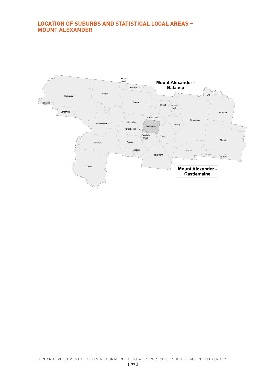# **LOCATION OF SUBURBS AND STATISTICAL LOCAL AREAS – MOUNT ALEXANDER**

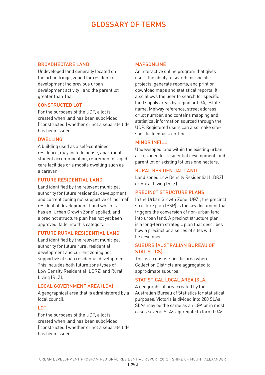# GLOSSARY OF TERMS

#### BROADHECTARE LAND

Undeveloped land generally located on the urban fringe, zoned for residential development (no previous urban development activity), and the parent lot greater than 1ha.

# CONSTRUCTED LOT

For the purposes of the UDP, a lot is created when land has been subdivided ('constructed') whether or not a separate title has been issued.

# DWELLING

A building used as a self-contained residence, may include house, apartment, student accommodation, retirement or aged care facilities or a mobile dwelling such as a caravan.

# FUTURE RESIDENTIAL LAND

Land identified by the relevant municipal authority for future residential development and current zoning not supportive of 'normal' residential development. Land which is has an 'Urban Growth Zone' applied, and a precinct structure plan has not yet been approved, falls into this category.

#### FUTURE RURAL RESIDENTIAL LAND

Land identified by the relevant municipal authority for future rural residential development and current zoning not supportive of such residential development. This includes both future zone types of Low Density Residential (LDRZ) and Rural Living (RLZ).

#### LOCAL GOVERNMENT AREA (LGA)

A geographical area that is administered by a local council.

# LOT

For the purposes of the UDP, a lot is created when land has been subdivided ('constructed') whether or not a separate title has been issued.

# **MAPSONLINE**

An interactive online program that gives users the ability to search for specific projects, generate reports, and print or download maps and statistical reports. It also allows the user to search for specific land supply areas by region or LGA, estate name, Melway reference, street address or lot number, and contains mapping and statistical information sourced through the UDP. Registered users can also make sitespecific feedback on-line.

# MINOR INFILL

Undeveloped land within the existing urban area, zoned for residential development, and parent lot or existing lot less one hectare.

# RURAL RESIDENTIAL LAND

Land zoned Low Density Residential (LDRZ) or Rural Living (RLZ).

# PRECINCT STRUCTURE PLANS

In the Urban Growth Zone (UGZ), the precinct structure plan (PSP) is the key document that triggers the conversion of non-urban land into urban land. A precinct structure plan is a long-term strategic plan that describes how a precinct or a series of sites will be developed.

# SUBURB (AUSTRALIAN BUREAU OF **STATISTICSI**

This is a census-specific area where Collection Districts are aggregated to approximate suburbs.

# STATISTICAL LOCAL AREA (SLA)

A geographical area created by the Australian Bureau of Statistics for statistical purposes. Victoria is divided into 200 SLAs. SLAs may be the same as an LGA or in most cases several SLAs aggregate to form LGAs.